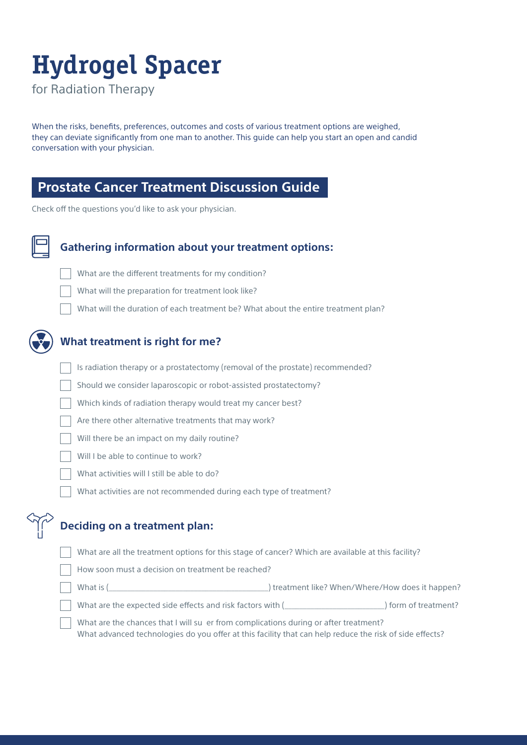# **Hydrogel Spacer**

for Radiation Therapy

When the risks, benefits, preferences, outcomes and costs of various treatment options are weighed, they can deviate significantly from one man to another. This guide can help you start an open and candid conversation with your physician.

#### **Prostate Cancer Treatment Discussion Guide**

Check off the questions you'd like to ask your physician.



#### **Gathering information about your treatment options:**

- What are the different treatments for my condition?
- What will the preparation for treatment look like?
- What will the duration of each treatment be? What about the entire treatment plan?



#### **What treatment is right for me?**

- Is radiation therapy or a prostatectomy (removal of the prostate) recommended?
- Should we consider laparoscopic or robot-assisted prostatectomy?
- Which kinds of radiation therapy would treat my cancer best?
- Are there other alternative treatments that may work?
- Will there be an impact on my daily routine?
- Will I be able to continue to work?
- What activities will I still be able to do?
- What activities are not recommended during each type of treatment?

#### **Deciding on a treatment plan:**

What are all the treatment options for this stage of cancer? Which are available at this facility?

| How soon must a decision on treatment be reached? |
|---------------------------------------------------|
|---------------------------------------------------|

- What is (\_\_\_\_\_\_\_\_\_\_\_\_\_\_\_\_\_\_\_\_\_\_\_\_\_\_\_\_\_\_\_\_\_\_\_\_\_\_\_\_\_\_\_) treatment like? When/Where/How does it happen?
- What are the expected side effects and risk factors with (\_\_\_\_\_\_\_\_\_\_\_\_\_\_\_\_\_\_\_\_\_\_\_\_\_\_\_) form of treatment?

 What are the chances that I will su er from complications during or after treatment? What advanced technologies do you offer at this facility that can help reduce the risk of side effects?